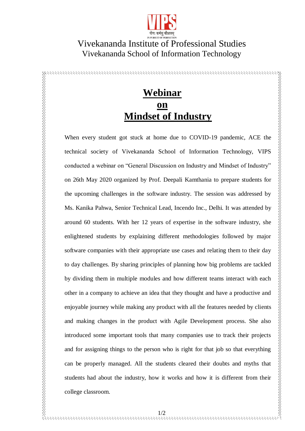

## Vivekananda Institute of Professional Studies Vivekananda School of Information Technology

## **Webinar on Mindset of Industry**

When every student got stuck at home due to COVID-19 pandemic, ACE the technical society of Vivekananda School of Information Technology, VIPS conducted a webinar on "General Discussion on Industry and Mindset of Industry" on 26th May 2020 organized by Prof. Deepali Kamthania to prepare students for the upcoming challenges in the software industry. The session was addressed by Ms. Kanika Pahwa, Senior Technical Lead, Incendo Inc., Delhi. It was attended by around 60 students. With her 12 years of expertise in the software industry, she enlightened students by explaining different methodologies followed by major software companies with their appropriate use cases and relating them to their day to day challenges. By sharing principles of planning how big problems are tackled by dividing them in multiple modules and how different teams interact with each other in a company to achieve an idea that they thought and have a productive and enjoyable journey while making any product with all the features needed by clients and making changes in the product with Agile Development process. She also introduced some important tools that many companies use to track their projects and for assigning things to the person who is right for that job so that everything can be properly managed. All the students cleared their doubts and myths that students had about the industry, how it works and how it is different from their college classroom.